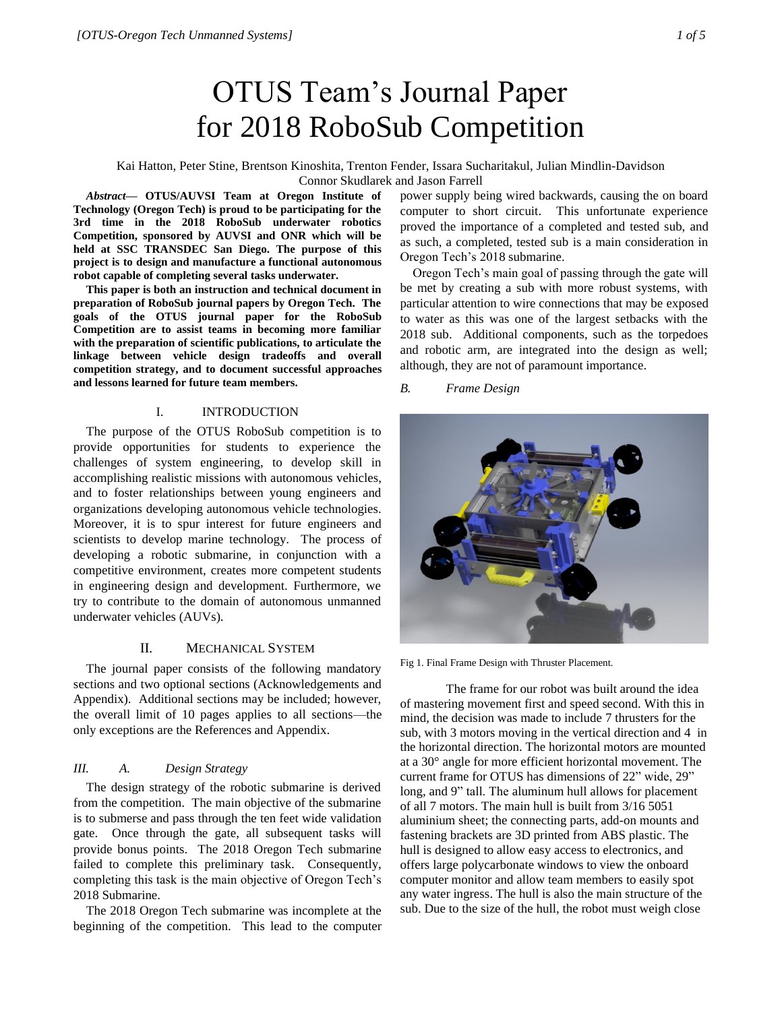# OTUS Team's Journal Paper for 2018 RoboSub Competition

Kai Hatton, Peter Stine, Brentson Kinoshita, Trenton Fender, Issara Sucharitakul, Julian Mindlin-Davidson Connor Skudlarek and Jason Farrell

*Abstract***— OTUS/AUVSI Team at Oregon Institute of Technology (Oregon Tech) is proud to be participating for the 3rd time in the 2018 RoboSub underwater robotics Competition, sponsored by AUVSI and ONR which will be held at SSC TRANSDEC San Diego. The purpose of this project is to design and manufacture a functional autonomous robot capable of completing several tasks underwater.**

**This paper is both an instruction and technical document in preparation of RoboSub journal papers by Oregon Tech. The goals of the OTUS journal paper for the RoboSub Competition are to assist teams in becoming more familiar with the preparation of scientific publications, to articulate the linkage between vehicle design tradeoffs and overall competition strategy, and to document successful approaches and lessons learned for future team members.** 

# I. INTRODUCTION

The purpose of the OTUS RoboSub competition is to provide opportunities for students to experience the challenges of system engineering, to develop skill in accomplishing realistic missions with autonomous vehicles, and to foster relationships between young engineers and organizations developing autonomous vehicle technologies. Moreover, it is to spur interest for future engineers and scientists to develop marine technology. The process of developing a robotic submarine, in conjunction with a competitive environment, creates more competent students in engineering design and development. Furthermore, we try to contribute to the domain of autonomous unmanned underwater vehicles (AUVs).

# II. MECHANICAL SYSTEM

The journal paper consists of the following mandatory sections and two optional sections (Acknowledgements and Appendix). Additional sections may be included; however, the overall limit of 10 pages applies to all sections—the only exceptions are the References and Appendix.

# *III. A. Design Strategy*

The design strategy of the robotic submarine is derived from the competition. The main objective of the submarine is to submerse and pass through the ten feet wide validation gate. Once through the gate, all subsequent tasks will provide bonus points. The 2018 Oregon Tech submarine failed to complete this preliminary task. Consequently, completing this task is the main objective of Oregon Tech's 2018 Submarine.

The 2018 Oregon Tech submarine was incomplete at the beginning of the competition. This lead to the computer

power supply being wired backwards, causing the on board computer to short circuit. This unfortunate experience proved the importance of a completed and tested sub, and as such, a completed, tested sub is a main consideration in Oregon Tech's 2018 submarine.

Oregon Tech's main goal of passing through the gate will be met by creating a sub with more robust systems, with particular attention to wire connections that may be exposed to water as this was one of the largest setbacks with the 2018 sub. Additional components, such as the torpedoes and robotic arm, are integrated into the design as well; although, they are not of paramount importance.

# *B. Frame Design*



Fig 1. Final Frame Design with Thruster Placement*.*

The frame for our robot was built around the idea of mastering movement first and speed second. With this in mind, the decision was made to include 7 thrusters for the sub, with 3 motors moving in the vertical direction and 4 in the horizontal direction. The horizontal motors are mounted at a 30° angle for more efficient horizontal movement. The current frame for OTUS has dimensions of 22" wide, 29" long, and 9" tall. The aluminum hull allows for placement of all 7 motors. The main hull is built from 3/16 5051 aluminium sheet; the connecting parts, add-on mounts and fastening brackets are 3D printed from ABS plastic. The hull is designed to allow easy access to electronics, and offers large polycarbonate windows to view the onboard computer monitor and allow team members to easily spot any water ingress. The hull is also the main structure of the sub. Due to the size of the hull, the robot must weigh close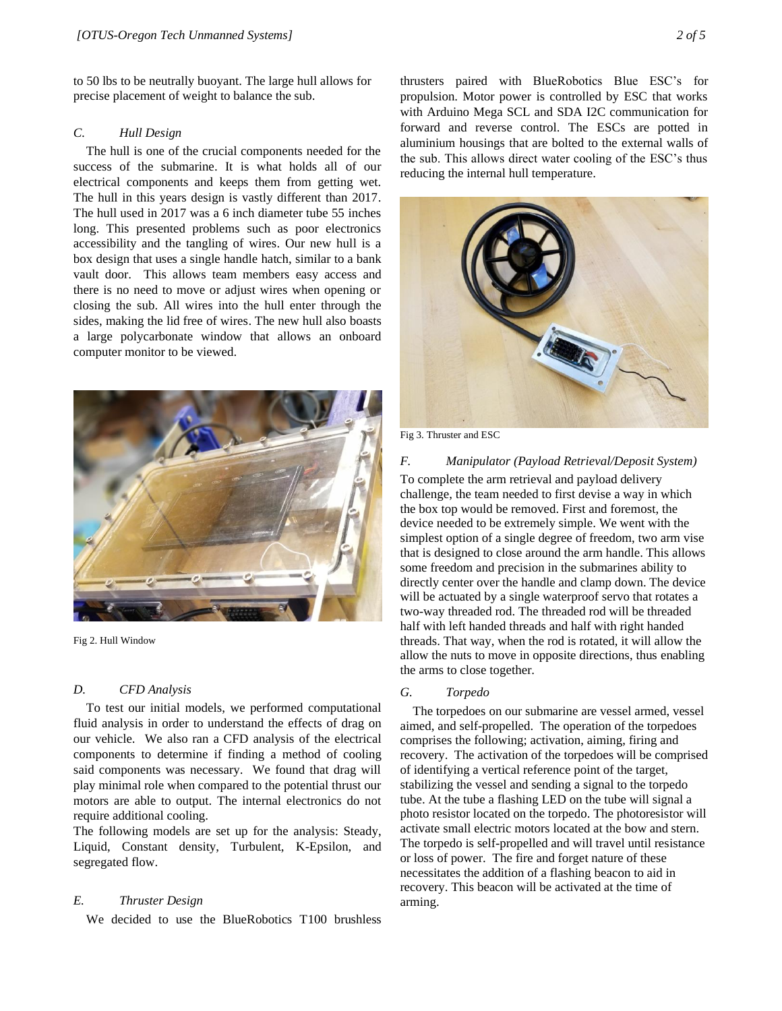to 50 lbs to be neutrally buoyant. The large hull allows for precise placement of weight to balance the sub.

# *C. Hull Design*

The hull is one of the crucial components needed for the success of the submarine. It is what holds all of our electrical components and keeps them from getting wet. The hull in this years design is vastly different than 2017. The hull used in 2017 was a 6 inch diameter tube 55 inches long. This presented problems such as poor electronics accessibility and the tangling of wires. Our new hull is a box design that uses a single handle hatch, similar to a bank vault door. This allows team members easy access and there is no need to move or adjust wires when opening or closing the sub. All wires into the hull enter through the sides, making the lid free of wires. The new hull also boasts a large polycarbonate window that allows an onboard computer monitor to be viewed.



Fig 2. Hull Window

# *D. CFD Analysis*

To test our initial models, we performed computational fluid analysis in order to understand the effects of drag on our vehicle. We also ran a CFD analysis of the electrical components to determine if finding a method of cooling said components was necessary. We found that drag will play minimal role when compared to the potential thrust our motors are able to output. The internal electronics do not require additional cooling.

The following models are set up for the analysis: Steady, Liquid, Constant density, Turbulent, K-Epsilon, and segregated flow.

## *E. Thruster Design*

We decided to use the BlueRobotics T100 brushless

thrusters paired with BlueRobotics Blue ESC's for propulsion. Motor power is controlled by ESC that works with Arduino Mega SCL and SDA I2C communication for forward and reverse control. The ESCs are potted in aluminium housings that are bolted to the external walls of the sub. This allows direct water cooling of the ESC's thus reducing the internal hull temperature.



Fig 3. Thruster and ESC

## *F. Manipulator (Payload Retrieval/Deposit System)*

To complete the arm retrieval and payload delivery challenge, the team needed to first devise a way in which the box top would be removed. First and foremost, the device needed to be extremely simple. We went with the simplest option of a single degree of freedom, two arm vise that is designed to close around the arm handle. This allows some freedom and precision in the submarines ability to directly center over the handle and clamp down. The device will be actuated by a single waterproof servo that rotates a two-way threaded rod. The threaded rod will be threaded half with left handed threads and half with right handed threads. That way, when the rod is rotated, it will allow the allow the nuts to move in opposite directions, thus enabling the arms to close together.

# *G. Torpedo*

The torpedoes on our submarine are vessel armed, vessel aimed, and self-propelled. The operation of the torpedoes comprises the following; activation, aiming, firing and recovery. The activation of the torpedoes will be comprised of identifying a vertical reference point of the target, stabilizing the vessel and sending a signal to the torpedo tube. At the tube a flashing LED on the tube will signal a photo resistor located on the torpedo. The photoresistor will activate small electric motors located at the bow and stern. The torpedo is self-propelled and will travel until resistance or loss of power. The fire and forget nature of these necessitates the addition of a flashing beacon to aid in recovery. This beacon will be activated at the time of arming.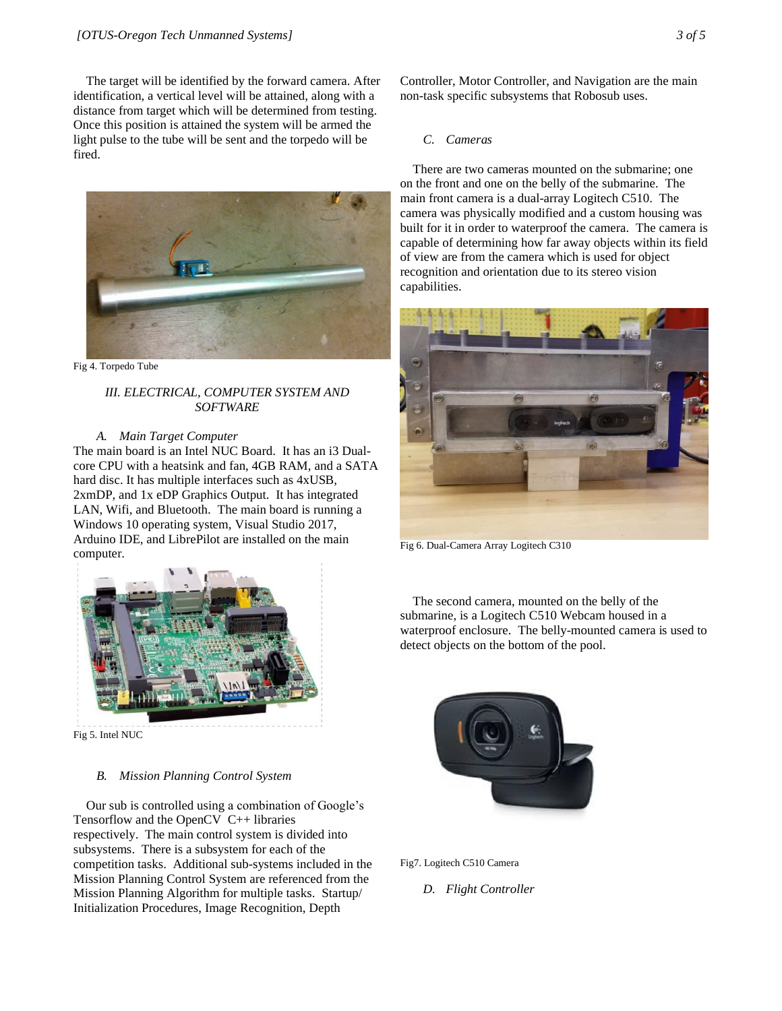The target will be identified by the forward camera. After identification, a vertical level will be attained, along with a distance from target which will be determined from testing. Once this position is attained the system will be armed the light pulse to the tube will be sent and the torpedo will be fired.



Fig 4. Torpedo Tube

# *III. ELECTRICAL, COMPUTER SYSTEM AND SOFTWARE*

# *A. Main Target Computer*

The main board is an Intel NUC Board. It has an i3 Dualcore CPU with a heatsink and fan, 4GB RAM, and a SATA hard disc. It has multiple interfaces such as 4xUSB, 2xmDP, and 1x eDP Graphics Output. It has integrated LAN, Wifi, and Bluetooth. The main board is running a Windows 10 operating system, Visual Studio 2017, Arduino IDE, and LibrePilot are installed on the main computer.



Fig 5. Intel NUC

# *B. Mission Planning Control System*

Our sub is controlled using a combination of Google's Tensorflow and the OpenCV C++ libraries respectively. The main control system is divided into subsystems. There is a subsystem for each of the competition tasks. Additional sub-systems included in the Mission Planning Control System are referenced from the Mission Planning Algorithm for multiple tasks. Startup/ Initialization Procedures, Image Recognition, Depth

Controller, Motor Controller, and Navigation are the main non-task specific subsystems that Robosub uses.

# *C. Cameras*

There are two cameras mounted on the submarine; one on the front and one on the belly of the submarine. The main front camera is a dual-array Logitech C510. The camera was physically modified and a custom housing was built for it in order to waterproof the camera. The camera is capable of determining how far away objects within its field of view are from the camera which is used for object recognition and orientation due to its stereo vision capabilities.



Fig 6. Dual-Camera Array Logitech C310

The second camera, mounted on the belly of the submarine, is a Logitech C510 Webcam housed in a waterproof enclosure. The belly-mounted camera is used to detect objects on the bottom of the pool.



Fig7. Logitech C510 Camera

*D. Flight Controller*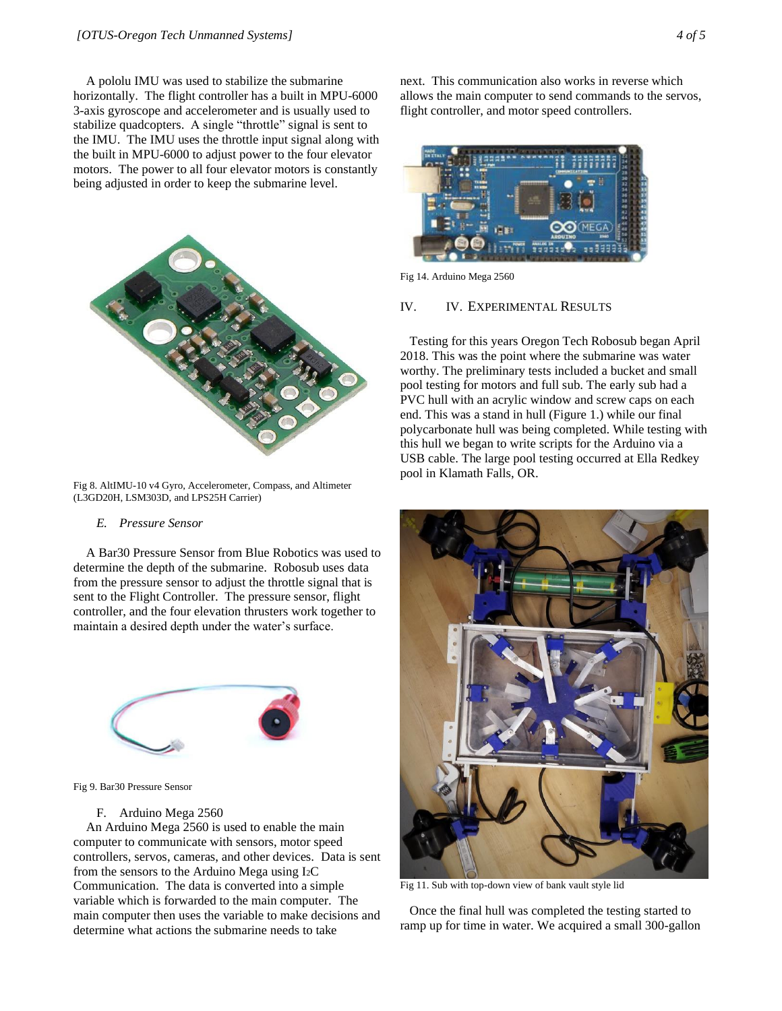A pololu IMU was used to stabilize the submarine horizontally. The flight controller has a built in MPU-6000 3-axis gyroscope and accelerometer and is usually used to stabilize quadcopters. A single "throttle" signal is sent to the IMU. The IMU uses the throttle input signal along with the built in MPU-6000 to adjust power to the four elevator motors. The power to all four elevator motors is constantly being adjusted in order to keep the submarine level.



Fig 8. AltIMU-10 v4 Gyro, Accelerometer, Compass, and Altimeter (L3GD20H, LSM303D, and LPS25H Carrier)

## *E. Pressure Sensor*

A Bar30 Pressure Sensor from Blue Robotics was used to determine the depth of the submarine. Robosub uses data from the pressure sensor to adjust the throttle signal that is sent to the Flight Controller. The pressure sensor, flight controller, and the four elevation thrusters work together to maintain a desired depth under the water's surface.



Fig 9. Bar30 Pressure Sensor

# F. Arduino Mega 2560

An Arduino Mega 2560 is used to enable the main computer to communicate with sensors, motor speed controllers, servos, cameras, and other devices. Data is sent from the sensors to the Arduino Mega using I2C Communication. The data is converted into a simple variable which is forwarded to the main computer. The main computer then uses the variable to make decisions and determine what actions the submarine needs to take

next. This communication also works in reverse which allows the main computer to send commands to the servos, flight controller, and motor speed controllers.



Fig 14. Arduino Mega 2560

#### IV. IV. EXPERIMENTAL RESULTS

 Testing for this years Oregon Tech Robosub began April 2018. This was the point where the submarine was water worthy. The preliminary tests included a bucket and small pool testing for motors and full sub. The early sub had a PVC hull with an acrylic window and screw caps on each end. This was a stand in hull (Figure 1.) while our final polycarbonate hull was being completed. While testing with this hull we began to write scripts for the Arduino via a USB cable. The large pool testing occurred at Ella Redkey pool in Klamath Falls, OR.



Fig 11. Sub with top-down view of bank vault style lid

 Once the final hull was completed the testing started to ramp up for time in water. We acquired a small 300-gallon